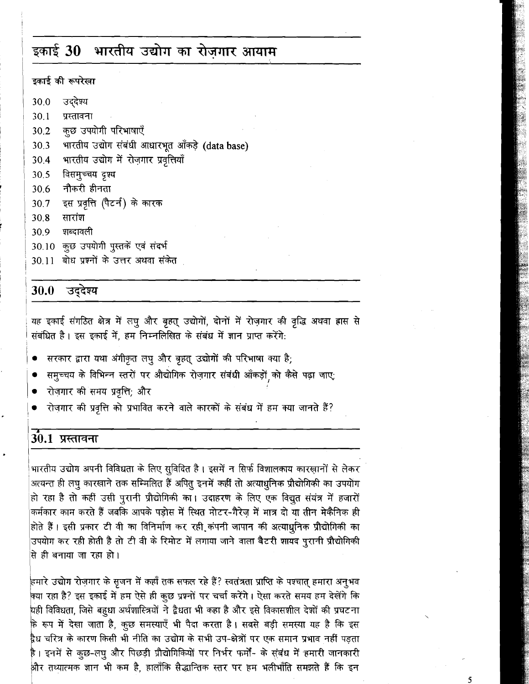# इकाई 30 भारतीय उद्योग का रोजगार आयाम

### इकाई की रूपरेखा

- उददेश्य 30.0
- $30.1$ प्रस्तावना
- कुछ उपयोगी परिभाषाएँ 30.2
- भारतीय उद्योग संबंधी आधारभूत आँकड़े (data base) 30.3
- भारतीय उद्योग में रोज़गार प्रवृत्तियाँ 30.4
- विसमुच्चय दृश्य 30.5
- 30.6 नौकरी हीनता
- इस प्रवृत्ति (पैटर्न) के कारक 30.7
- 30.8 सारांश
- 30.9 शब्दावली
- 30.10 कुछ उपयोगी पुस्तकें एवं संदर्भ
- 30.11 बोध प्रश्नों के उत्तर अथवा संकेत

#### उद्देश्य 30.0

यह इकाई संगठित क्षेत्र में लघु और बृहत् उद्योगों, दोनों में रोज़गार की वृद्धि अथवा ह्रास से संबंधित है। इस इकाई में, हम निम्नलिखित के संबंध में ज्ञान प्राप्त करेंगे:

- सरकार द्वारा यथा अंगीकृत लघु और बृहत् उद्योगों की परिभाषा क्या है;
- समुच्चय के विभिन्न स्तरों पर औद्योगिक रोज़गार संबंधी आँकड़ों को कैसे पढ़ा जाए;
- रोजगार की समय प्रवृत्ति; और
- रोज़गार की प्रवृत्ति को प्रभावित करने वाले कारकों के संबंध में हम क्या जानते हैं?

## 30.1 प्रस्तावना

भारतीय उद्योग अपनी विविधता के लिए सुविदित है। इसमें न सिर्फ विशालकाय कारख़ानों से लेकर अत्यन्त ही लघु कारखाने तक सम्मिलित हैं अपितु इनमें कहीं तो अत्याधुनिक प्रौद्योगिकी का उपयोग हो रहा है तो कहीं उसी पुरानी प्रौद्योगिकी का। उदाहरण के लिए एक विद्युत संयंत्र में हजारों कर्मकार काम करते हैं जबकि आपके पड़ोस में स्थित मोटर-गैरेज में मात्र दो या तीन मेकैनिक ही होते हैं। इसी प्रकार टी वी का विनिर्माण कर रही कंपनी जापान की अत्याधुनिक प्रौद्योगिकी का उपयोग कर रही होती है तो टी वी के रिमोट में लगाया जाने वाला बैटरी शायद पुरानी प्रौद्योगिकी से ही बनाया जा रहा हो।

हमारे उद्योग रोज़गार के सृजन में कहाँ तक सफल रहे हैं? स्वतंत्रता प्राप्ति के पश्चात् हमारा अनुभव क्या रहा है? इस इकाई में हम ऐसे ही कुछ प्रश्नों पर चर्चा करेंगे। ऐसा करते समय हम देखेंगे कि यही विविधता, जिसे बहुधा अर्थशास्त्रियों ने द्वैधता भी कहा है और इसे विकासशील देशों की प्रघटना कि रूप में देखा जाता है, कुछ समस्याएँ भी पैदा करता है। सबसे बड़ी समस्या यह है कि इस द्वैध चरित्र के कारण किसी भी नीति का उद्योग के सभी उप-क्षेत्रों पर एक समान प्रभाव नहीं पड़ता है। इनमें से कुछ-लघु और पिछड़ी प्रौद्योगिकियों पर निर्भर फर्मों- के सुंबंध में हमारी जानकारी , और तथ्यात्मक ज्ञान भी कम है, हालाँकि सैद्धान्तिक स्तर पर हम भलीभाँति समझते हैं कि इन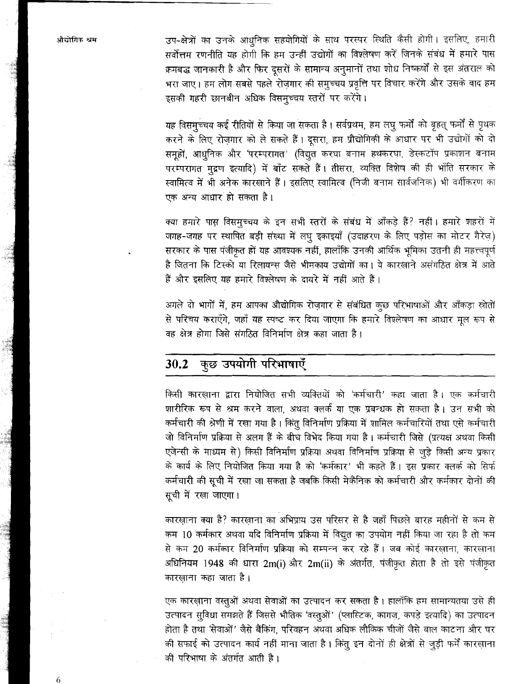उप-क्षेत्रों का उनके आधुनिक सहयोगियों के साथ परस्पर स्थिति कैसी होगी। इसलिए, हमारी सर्वोत्तम रणनीति यह होगी कि हम उन्हीं उद्योगों का विश्लेषण करें जिनके संबंध में हमारे पास क्रमबद्ध जानकारी है और फिर दसरों के सामान्य अनुमानों तथा शोध निष्कर्षों से इस अंतराल को भरा जाए। हम लोग सबसे पहले रोजगार की समुच्चय प्रवृत्ति पर विचार करेंगे और उसके बाद हम इसकी गहरी छानबीन अधिक विसमुच्चय स्तरों पर करेंगे।

यह विसम्च्चय कई रीतियों से किया जा सकता है। सर्वप्रथम, हम लघु फर्मों को बृहत् फर्मों से पृथक करने के लिए रोज़गार को ले सकते हैं। दूसरा, हम प्रौद्योगिकी के आधार पर भी उद्योगों को दो समुहों, आधुनिक और 'परम्परागत' (विद्युत करघा बनाम हथकरघा, डेस्कटॉप प्रकाशन बनाम परम्परागत मुद्रण इत्यादि) में बाँट सकते हैं। तीसरा, व्यक्ति विशेष की ही भाँति सरकार के स्वामित्व में भी अनेक कारखाने हैं। इसलिए स्वामित्व (निजी बनाम सार्वजनिक) भी वर्गीकरण का एक अन्य आधार हो सकता है।

क्या हमारे पास विसमुच्चय के इन सभी स्तरों के संबंध में आँकड़े हैं? नहीं। हमारे शहरों में जगह-जगह पर स्थापित बड़ी संख्या में लघु इकाइयाँ (उदाहरण के लिए पड़ोस का मोटर गैरेज़) सरकार के पास पंजीकृत हों यह आवश्यक नहीं, हालाँकि उनकी आर्थिक भूमिका उतनी ही महत्त्वपूर्ण है जितना कि टिस्को या रिलायन्स जैसे भीमकाय उद्योगों का। ये कारखाने असंगठित क्षेत्र में आते हैं और इसलिए यह हमारे विश्लेषण के दायरे में नहीं आते हैं।

अगले दो भागों में, हम आपका औद्योगिक रोज़गार से संबंधित कुछ परिभाषाओं और आँकड़ा स्रोतों से परिचय कराएँगे, जहाँ यह स्पष्ट कर दिया जाएगा कि हमारे विश्लेषण का आधार मूल रूप से वह क्षेत्र होगा जिसे संगठित विनिर्माण क्षेत्र कहा जाता है।

#### कुछ उपयोगी परिभाषाएँ 30.2

किसी कारखाना द्वारा नियोजित सभी व्यक्तियों को 'कर्मचारी' कहा जाता है। एक कर्मचारी शारीरिक रूप से श्रम करने वाला, अथवा क्लर्क या एक प्रबन्धक हो सकता है। उन सभी को कर्मचारी की श्रेणी में रखा गया है। किंतु विनिर्माण प्रक्रिया में शामिल कर्मचारियों तथा एसे कर्मचारी जो विनिर्माण प्रक्रिया से अलग हैं के बीच विभेद किया गया है। कर्मचारी जिसे (प्रत्यक्ष अथवा किसी एजेन्सी के माध्यम से) किसी विनिर्माण प्रक्रिया अथवा विनिर्माण प्रक्रिया से जुड़े किसी अन्य प्रकार के कार्य के लिए नियोजित किया गया है को 'कर्मकार' भी कहते हैं। इस प्रकार क्लर्क को सिर्फ कर्मचारी की सूची में रखा जा सकता है जबकि किसी मेकैनिक को कर्मचारी और कर्मकार दोनों की सूची में रखा जाएगा।

कारख़ाना क्या है? कारख़ाना का अभिप्राय उस परिसर से है जहाँ पिछले बारह महीनों से कम से कम 10 कर्मकार अथवा यदि विनिर्माण प्रक्रिया में विद्युत का उपयोग नहीं किया जा रहा है तो कम से कम 20 कर्मकार विनिर्माण प्रक्रिया को सम्पन्न कर रहे हैं। जब कोई कारखाना, कारखाना अधिनियम 1948 की धारा 2m(i) और 2m(ii) के अंतर्गत, पंजीकृत होता है तो इसे पंजीकृत कारखाना कहा जाता है।

एक कारख़ाना वस्तुओं अथवा सेवाओं का उत्पादन कर सकता है। हालाँकि हम सामान्यतया उसे ही उत्पादन सूविधा समझते हैं जिससे भौतिक 'वस्तुओं' (प्लास्टिक, कागज़, कपड़े इत्यादि) का उत्पादन होता है तथा 'सेवाओं' जैसे बैंकिंग, परिवहन अथवा अधिक लौकिक चीजों जैसे बाल काटना और घर की सफाई को उत्पादन कार्य नहीं माना जाता है। किंतु इन दोनों ही क्षेत्रों से जुड़ी फर्में कारख़ाना की परिभाषा के अंतर्गत आती है।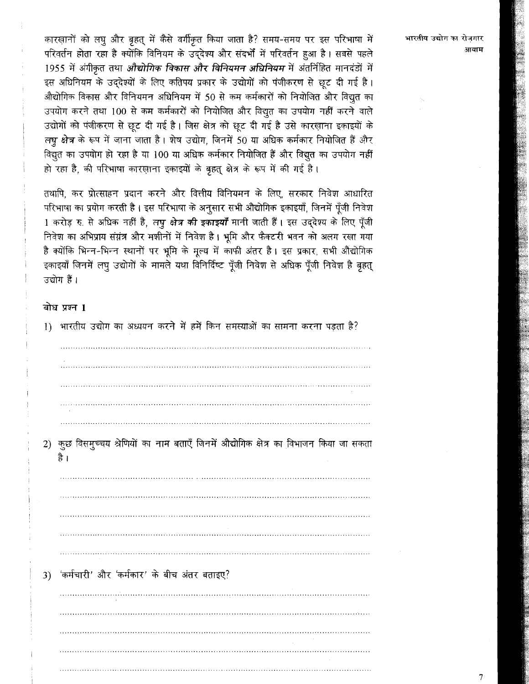कारख़ानों को लघु और बृहत् में कैसे वर्गीकृत किया जाता है? समय-समय पर इस परिभाषा में परिवर्तन होता रहा है क्योंकि विनियम के उददेश्य और संदर्भों में परिवर्तन हुआ है। सबसे पहले 1955 में अंगीकृत तथा औद्योगिक विकास और विनियमन अधिनियम में अंतर्निहित मानदंडों में इस अधिनियम के उददेश्यों के लिए कतिपय प्रकार के उद्योगों को पंजीकरण से छुट दी गई है। औद्योगिक विकास और विनियमन अधिनियम में 50 से कम कर्मकारों को नियोजित और विद्युत का उपयोग करने तथा 100 से कम कर्मकारों को नियोजित और विद्युत का उपयोग नहीं करने वाले उद्योगों को पंजीकरण से छुट दी गई है। जिस क्षेत्र को छुट दी गई है उसे कारखाना इकाइयों के लघू क्षेत्र के रूप में जाना जाता है। शेष उद्योग, जिनमें 50 या अधिक कर्मकार नियोजित हैं और विद्युत का उपयोग हो रहा है या 100 या अधिक कर्मकार नियोजित हैं और विद्युत का उपयोग नहीं हो रहा है, की परिभाषा कारखाना इकाइयों के बृहत क्षेत्र के रूप में की गई है।

तथापि, कर प्रोत्साहन प्रदान करने और वित्तीय विनियमन के लिए, सरकार निवेश आधारित परिभाषा का प्रयोग करती है। इस परिभाषा के अनुसार सभी औद्योगिक इकाइयाँ, जिनमें पूँजी निवेश 1 करोड़ रु. से अधिक नहीं है, लघू क्षेत्र की इकाइयाँ मानी जाती हैं। इस उद्देश्य के लिए पूँजी निवेश का अभिप्राय संग्नंत्र और मशीनों में निवेश है। भूमि और फैक्टरी भवन को अलग रखा गया है क्योंकि भिन्न-भिन्न स्थानों पर भूमि के मुल्य में काफी अंतर है। इस प्रकार, सभी औद्योगिक इकाइयाँ जिनमें लघु उद्योगों के मामले यथा विनिर्दिष्ट पुँजी निवेश से अधिक पुँजी निवेश है बृहत् उद्योग हैं।

### बोध प्रश्न 1



भारतीय उद्योग का रोजगार आयाम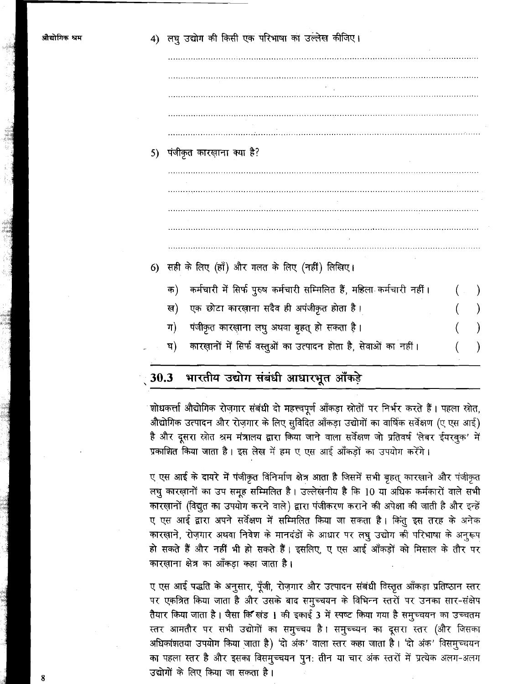5) पंजीकृत कारख़ाना क्या है? 6) सही के लिए (हाँ) और गलत के लिए (नहीं) लिखिए। कर्मचारी में सिर्फ पुरुष कर्मचारी सम्मिलित हैं, महिला कर्मचारी नहीं। क) एक छोटा कारख़ाना सदैव ही अपंजीकृत होता है। ख) पंजीकृत कारख़ाना लघु अथवा बृहत् हो सकता है। ग) कारख़ानों में सिर्फ वस्तुओं का उत्पादन होता है, सेवाओं का नहीं। <u>घ)</u>

#### भारतीय उद्योग संबंधी आधारभूत आँकड़े  $30.3$

शोधकर्त्ता औद्योगिक रोज़गार संबंधी दो महत्त्वपूर्ण आँकड़ा स्रोतों पर निर्भर करते हैं। पहला स्रोत, औद्योगिक उत्पादन और रोज़गार के लिए सुविदित आँकड़ा उद्योगों का वार्षिक सर्वेक्षण (ए एस आई) है और दूसरा स्रोत श्रम मंत्रालय द्वारा किया जाने वाला सर्वेक्षण जो प्रतिवर्ष 'लेबर ईयरबुक' में प्रकाशित किया जाता है। इस लेख में हम ए एस आई आँकड़ों का उपयोग करेंगे।

ए एस आई के दायरे में पंजीकृत विनिर्माण क्षेत्र आता है जिसमें सभी बृहत् कारखाने और पंजीकृत लघु कारख़ानों का उप समूह सम्मिलित है। उल्लेखनीय है कि 10 या अधिक कर्मकारों वाले सभी कारख़ानों (विद्युत का उपयोग करने वाले) द्वारा पंजीकरण कराने की अपेक्षा की जाती है और इन्हें ए एस आई द्वारा अपने सर्वेक्षण में सम्मिलित किया जा सकता है। किंतू इस तरह के अनेक कारख़ाने, रोज़गार अथवा निवेश के मानदंडों के आधार पर लघू उद्योग की परिभाषा के अनुरूप हो सकते हैं और नहीं भी हो सकते हैं। इसलिए, ए एस आई आँकड़ों को मिसाल के तौर पर कारखाना क्षेत्र का आँकड़ा कहा जाता है।

ए एस आई पद्धति के अनुसार, पूँजी, रोज़गार और उत्पादन संबंधी विस्तृत आँकड़ा प्रतिष्ठान स्तर पर एकत्रित किया जाता है और उसके बाद समुच्चयन के विभिन्न स्तरों पर उनका सार-संक्षेप तैयार किया जाता है। जैसा कि खंड 1 की इकाई 3 में स्पष्ट किया गया है समुच्चयन का उच्चतम स्तर आमतौर पर सभी उद्योगों का समुच्चय है। समुच्च्यन का दूसरा स्तर (और जिसका अधिकांशतया उपयोग किया जाता है) 'दो अंक' वाला स्तर कहा जाता है। 'दो अंक' विसमुच्चयन का पहला स्तर है और इसका विसमुच्चयन पुन: तीन या चार अंक स्तरों में प्रत्येक अलग-अलग उद्योगों के लिए किया जा सकता है।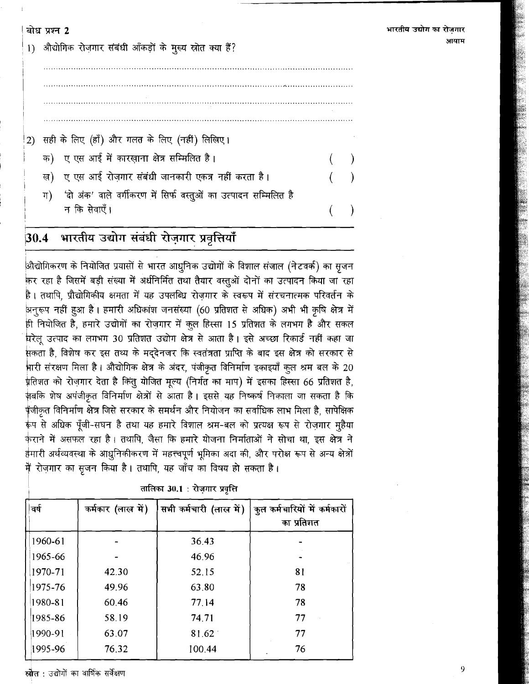भारतीय उद्योग का रोजगार आयाम

9

बोध प्रश्न 2 1) औद्योगिक रोजगार संबंधी आँकड़ों के मुख्य स्रोत क्या हैं? सही के लिए (हाँ) और गलत के लिए (नहीं) लिखिए।  $2)$ क) ए एस आई में कारख़ाना क्षेत्र सम्मिलित है। ्ए एस आई रोजगार संबंधी जानकारी एकत्र नहीं करता है। ख) 'दो अंक' वाले वर्गीकरण में सिर्फ वस्तुओं का उत्पादन सम्मिलित है  $\pi$ न कि सेवाएँ।

#### भारतीय उद्योग संबंधी रोज़गार प्रवृत्तियाँ  $30.4$

औद्योगिकरण के नियोजित प्रयासों से भारत आधुनिक उद्योगों के विशाल संजाल (नेटवर्क) का सृजन कर रहा है जिसमें बड़ी संख्या में अर्धनिर्मित तथा तैयार वस्तुओं दोनों का उत्पादन किया जा रहा है। तथापि, प्रौद्योगिकीय क्षमता में यह उपलब्धि रोजगार के स्वरूप में संरचनात्मक परिवर्तन के अनूरूप नहीं हुआ है। हमारी अधिकांश जनसंख्या (60 प्रतिशत से अधिक) अभी भी कृषि क्षेत्र में ही नियोजित है, हमारे उद्योगों का रोज़गार में कुल हिस्सा 15 प्रतिशत के लगभग है और सकल घरेलू उत्पाद का लगभग 30 प्रतिशत उद्योग क्षेत्र से आता है। इसे अच्छा रिकार्ड नहीं कहा जा .<br>सकता है, विशेष कर इस तथ्य के मद्देनजर कि स्वतंत्रता प्राप्ति के बाद इस क्षेत्र को सरकार से भारी संरक्षण मिला है। औद्योगिक क्षेत्र के अंदर, पंजीकृत विनिर्माण इकाइयाँ कुल श्रम बल के 20 .<br>प्रतिशत को रोज़गार देता है किंतु योजित मूल्य (निर्गत का माप) में इसका हिस्सा 66 प्रतिशत है, क़बकि शेष अपंजीकृत विनिर्माण क्षेत्रों से आता है। इससे यह निष्कर्ष निकाला जा सकता है कि .<br><sub>पू</sub>ंजीकृत विनिर्माण क्षेत्र जिसे सरकार के समर्थन और नियोजन का सर्वाधिक लाभ मिला है, सापेक्षिक रूप से अधिक पूँजी-सघन है तथा यह हमारे विशाल श्रम-बल को प्रत्यक्ष रूप से रोज़गार मूहैया कराने में असफल रहा है। तथापि, जैसा कि हमारे योजना निर्माताओं ने सोचा था, इस क्षेत्र ने हैमारी अर्थव्यवस्था के आधुनिकीकरण में महत्त्वपूर्ण भूमिका अदा की, और परोक्ष रूप से अन्य क्षेत्रों मैं रोज़गार का सृजन किया है। तथापि, यह जाँच का विषय हो सकता है।

| वर्ष    | कर्मकार (लाख में) | सभी कर्मचारी (लाख में) | कुल कर्मचारियों में कर्मकारों<br>का प्रतिशत |
|---------|-------------------|------------------------|---------------------------------------------|
| 1960-61 |                   | 36.43                  |                                             |
| 1965-66 |                   | 46.96                  |                                             |
| 1970-71 | 42.30             | 52.15                  | 81                                          |
| 1975-76 | 49.96             | 63.80                  | 78                                          |
| 1980-81 | 60.46             | 77.14                  | 78                                          |
| 1985-86 | 58.19             | 74.71                  | 77                                          |
| 1990-91 | 63.07             | 81.62                  | 77                                          |
| 1995-96 | 76.32             | 100.44                 | 76                                          |

तालिका 30.1 : रोजगार प्रवृत्ति

स्रोत : उद्योगों का वार्षिक सर्वेक्षण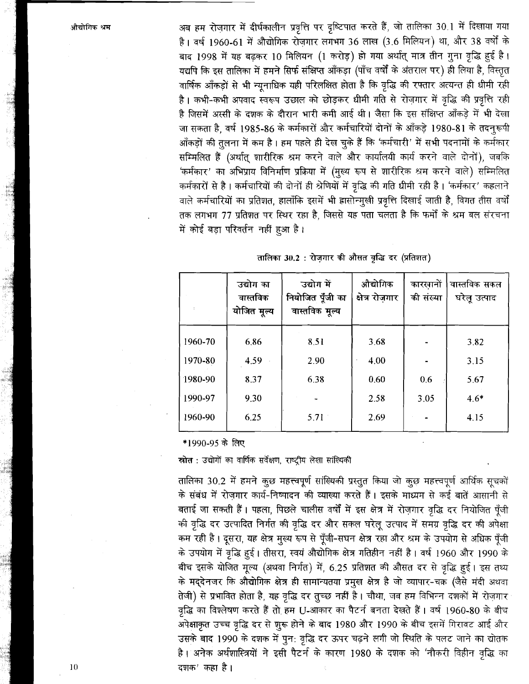अब हम रोज़गार में दीर्घकालीन प्रवृत्ति पर दृष्टिपात करते हैं, जो तालिका 30.1 में दिखाया गया है। वर्ष 1960-61 में औद्योगिक रोज़गार लगभग 36 लाख (3.6 मिलियन) था, और 38 वर्षों के बाद 1998 में यह बढ़कर 10 मिलियन (1 करोड़) हो गया अर्थात् मात्र तीन गुना वृद्धि हुई है। यद्यपि कि इस तालिका में हमने सिर्फ संक्षिप्त आँकड़ा (पाँच वर्षों के अंतराल पर) ही लिया है, विस्तृत वार्षिक आँकड़ों से भी न्यूनाधिक यही परिलक्षित होता है कि वृद्धि की रफ्तार अत्यन्त ही धीमी रही है। कभी-कभी अपवाद स्वरूप उछाल को छोड़कर धीमी गति से रोज़गार में वृद्धि की प्रवृत्ति रही है जिसमें अस्सी के दशक के दौरान भारी कमी आई थी। जैसा कि इस संक्षिप्त आँकड़े में भी देखा जा सकता है, वर्ष 1985-86 के कर्मकारों और कर्मचारियों दोनों के आँकड़े 1980-81 के तदनुरूपी आँकड़ों की तुलना में कम है। हम पहले ही देख चुके हैं कि 'कर्मचारी' में सभी पदनामों के कर्मकार सम्मिलित हैं (अर्थात् शारीरिक श्रम करने वाले और कार्यालयी कार्य करने वाले दोनों), जबकि 'कर्मकार' का अभिप्राय विनिर्माण प्रक्रिया में (मुख्य रूप से शारीरिक श्रम करने वाले) सम्मिलित कर्मकारों से है। कर्मचारियों की दोनों ही श्रेणियों में वृद्धि की गति धीमी रही है। 'कर्मकार' कहलाने वाले कर्मचारियों का प्रतिशत, हालाँकि इसमें भी ह्रासोन्मुखी प्रवृत्ति दिखाई जाती है, विगत तीस वर्षों तक लगभग 77 प्रतिशत पर स्थिर रहा है, जिससे यह पता चलता है कि फर्मों के श्रम बल संरचना में कोई बड़ा परिवर्तन नहीं हुआ है।

|         | उद्योग का<br>वास्तविक<br>योजित मूल्य | उद्योग में<br>नियोजित पूँजी का<br>वास्तविक मूल्य | औद्योगिक<br>क्षेत्र रोजगार | कारसानों<br>की संख्या | वास्तविक सकल<br>घरेलू उत्पाद |
|---------|--------------------------------------|--------------------------------------------------|----------------------------|-----------------------|------------------------------|
| 1960-70 | 6,86                                 | 8.51                                             | 3.68                       |                       | 3.82                         |
| 1970-80 | 4.59                                 | 2.90                                             | 4.00                       |                       | 3.15                         |
| 1980-90 | 8.37                                 | 6.38                                             | 0.60                       | 0.6                   | 5.67                         |
| 1990-97 | 9.30                                 |                                                  | 2.58                       | 3.05                  | $4.6*$                       |
| 1960-90 | 6.25                                 | 5.71                                             | 2.69                       |                       | 4.15                         |

|  |  |  |  | तालिका 30.2 : रोजगार की औसत वृद्धि दर (प्रतिशत) |  |
|--|--|--|--|-------------------------------------------------|--|

\*1990-95 के लिए

स्रोत : उद्योगों का वार्षिक सर्वेक्षण, राष्ट्रीय लेखा सांख्यिकी

तालिका 30.2 में हमने कुछ महत्त्वपूर्ण सांख्यिकी प्रस्तुत किया जो कुछ महत्त्वपूर्ण आर्थिक सूचकों के संबंध में रोज़गार कार्य-निष्पादन की व्याख्या करते हैं। इसके माध्यम से कई बातें आसानी से बताई जा सकती हैं। पहला, पिछले चालीस वर्षों में इस क्षेत्र में रोज़गार वृद्धि दर नियोजित पूँजी की वृद्धि दर उत्पादित निर्गत की वृद्धि दर और सकल घरेलू उत्पाद में समग्र वृद्धि दर की अपेक्षा कम रही है। दूसरा, यह क्षेत्र मुख्य रूप से पूँजी-सघन क्षेत्र रहा और श्रम के उपयोग से अधिक पूँजी के उपयोग में वृद्धि हुई। तीसरा, स्वयं औद्योगिक क्षेत्र गतिहीन नहीं है। वर्ष 1960 और 1990 के बीच इसके योजित मूल्य (अथवा निर्गत) में, 6.25 प्रतिशत की औसत दर से वृद्धि हुई। इस तथ्य के मद्देनजर कि औद्योगिक क्षेत्र ही सामान्यतया प्रमुख क्षेत्र है जो व्यापार-चक्र (जैसे मंदी अथवा तेजी) से प्रभावित होता है, यह वृद्धि दर तुच्छ नहीं है। चौथा, जब हम विभिन्न दशकों में रोज़गार वृद्धि का विश्लेषण करते हैं तो हम U-आकार का पैटर्न बनता देखते हैं। वर्ष 1960-80 के बीच अपेक्षाकृत उच्च वृद्धि दर से शुरू होने के बाद 1980 और 1990 के बीच इसमें गिरावट आई और उसके बाद 1990 के दशक में पुन: वृद्धि दर ऊपर चढ़ने लगी जो स्थिति के पलट जाने का द्योतक है। अनेक अर्थशास्त्रियों ने इसी पैटर्न के कारण 1980 के दशक को 'नौकरी विहीन वृद्धि का दशक' कहा है।

10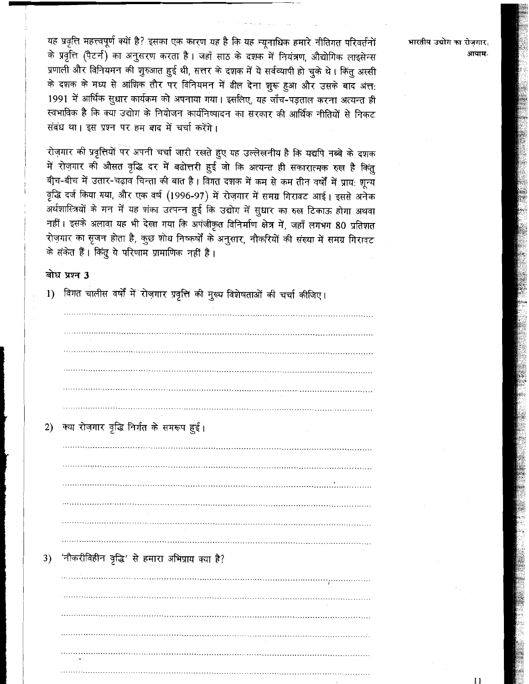यह प्रवृत्ति महत्त्वपूर्ण क्यों है? इसका एक कारण यह है कि यह न्यूनाधिक हमारे नीतिगत परिवर्तनों के प्रवृत्ति (पैटर्न) का अनुसरण करता है। जहाँ साठ के दशक में नियंत्रण, औद्योगिक लाइसेन्स प्रणाली और विनियमन की शुरुआत हुई थी, सत्तर के दशक में ये सर्वव्यापी हो चुके थे। किंतु अस्सी के दशक के मध्य से आंशिक तौर पर विनियमन में ढील देना शुरू हुआ और उसके बाद अंत: 1991 में आर्थिक सुधार कार्यक्रम को अपनाया गया। इसलिए, यह जाँच-पड़ताल करना अत्यन्त ही स्वभाविक है कि क्या उद्योग के नियोजन कार्यनिष्पादन का सरकार की आर्थिक नीतियों से निकट संबंध था। इस प्रश्न पर हम बाद में चर्चा करेंगे।

रोज़गार की प्रवृत्तियों पर अपनी चर्चा जारी रखते हुए यह उल्लेखनीय है कि यद्यपि नब्बे के दशक में रोज़गार की औसत वृद्धि दर में बढोत्तरी हुई जो कि अत्यन्त ही सकारात्मक रुख है किंतु बीच-बीच में उतार-चढ़ाव चिन्ता की बात है। विगत दशक में कम से कम तीन वर्षों में प्राय: शून्य वृद्धि दर्ज किया गया, और एक वर्ष (1996-97) में रोज़गार में समग्र गिरावट आई। इससे अनेक ँ<br>अर्थशास्त्रियों के मन में यह शंका उत्पन्न हुई कि उद्योग में सुधार का रुख टिकाऊ होगा अथवा नहीं। इसके अलावा यह भी देखा गया कि अपंजीकृत विनिर्माण क्षेत्र में, जहाँ लगभग 80 प्रतिशत रोज़गार का सृजन होता है, कुछ शोध निष्कर्षों के अनुसार, नौकरियों की संख्या में समग्र गिरावट के संकेत हैं। किंतु ये परिणाम प्रामाणिक नहीं हैं।

### बोध प्रश्न 3

| 1) | विगत चालीस वर्षों में रोज़गार प्रवृत्ति की मुख्य विशेषताओं की चर्चा कीजिए। |
|----|----------------------------------------------------------------------------|
|    |                                                                            |
|    |                                                                            |
|    |                                                                            |
|    |                                                                            |
|    |                                                                            |
|    |                                                                            |
| 2) | क्या रोज़गार वृद्धि निर्गत के समरूप हुई।                                   |
|    |                                                                            |
|    |                                                                            |
|    |                                                                            |
|    |                                                                            |
|    |                                                                            |
|    |                                                                            |
|    |                                                                            |
| 3) | 'नौकरीविहीन वृद्धि' से हमारा अभिप्राय क्या है?                             |
|    |                                                                            |
|    |                                                                            |
|    |                                                                            |
|    |                                                                            |
|    |                                                                            |
|    |                                                                            |

भारतीय उद्योग का रोजगार. आयाम्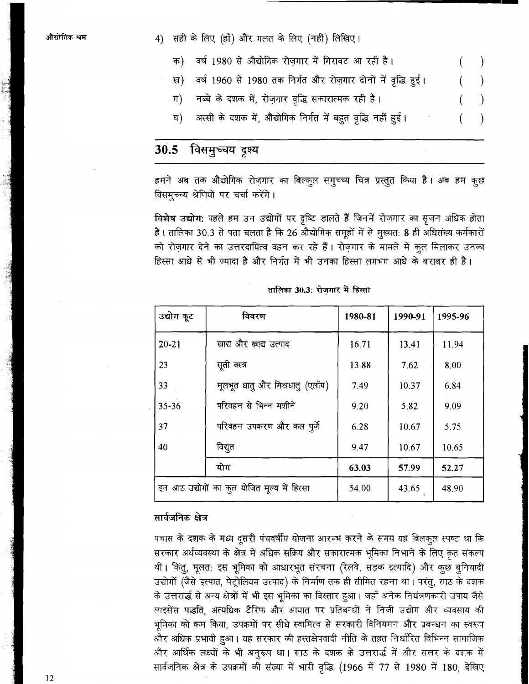4) सही के लिए (हाँ) और गलत के लिए (नहीं) लिखिए।

- वर्ष 1980 से औद्योगिक रोजगार में गिरावट आ रही है। क)
- वर्ष 1960 से 1980 तक निर्गत और रोज़गार दोनों में वृद्धि हुई। ख)
- नब्बे के दशक में, रोज़गार वृद्धि सकारात्मक रही है।  $\Pi$
- अस्सी के दशक में, औद्योगिक निर्गत में बहुत वृद्धि नहीं हुई। घ)

#### विसमूच्चय दृश्य  $30.5$

हमने अब तक औद्योगिक रोज़गार का बिल्कुल समुच्च्य चित्र प्रस्तुत किया है। अब हम कूछ विसमुच्च्य श्रेणियों पर चर्चा करेंगे।

विशेष उद्योग: पहले हम उन उद्योगों पर दृष्टि डालते हैं जिनमें रोज़गार का सृजन अधिक होता है। तालिका 30.3 से पता चलता है कि 26 औद्योगिक समूहों में से मुख्यत: 8 ही अधिसंख्य कर्मकारों को रोज़गार देने का उत्तरदायित्व वहन कर रहे हैं। रोज़गार के मामले में कुल मिलाकर उनका हिस्सा आधे से भी ज्यादा है और निर्गत में भी उनका हिस्सा लगभग आधे के बराबर ही है।

| उद्योग कूट | विवरण                                        | 1980-81   | 1990-91 | 1995-96 |
|------------|----------------------------------------------|-----------|---------|---------|
| $20 - 21$  | खाद्य और खाद्य उत्पाद                        | 16.71     | 13.41   | 11.94   |
| 23         | सूती वस्त्र                                  | $13.88 -$ | 7.62    | 8.00    |
| 33         | मूलभूत धातु और मिश्रधातु (एलॉय)              | 7.49      | 10.37   | 6.84    |
| $35 - 36$  | परिवहन से भिन्न मशीनें                       | 9.20      | 5.82    | 9.09    |
| 37         | परिवहन उपकरण और कल पुर्जे                    | 6.28      | 10.67   | 5.75    |
| 40         | विद्युत                                      | 9.47      | 10.67   | 10.65   |
|            | योग                                          | 63.03     | 57.99   | 52.27   |
|            | इन आठ उद्योगों का कुल योजित मूल्य में हिस्सा | 54.00     | 43.65   | 48.90   |

तालिका 30.3: रोजगार में हिस्सा

### सार्वजनिक क्षेत्र

पचास के दशक के मध्य दूसरी पंचवर्षीय योजना आरम्भ करने के समय यह बिलकुल स्पष्ट था कि सरकार अर्थव्यवस्था के क्षेत्र में अधिक सक्रिय और सकारात्मक भूमिका निभाने के लिए कृत संकल्प थी। किंतु, मुलतः इस भूमिका को आधारभूत संरचना (रेलवे, सडक इत्यादि) और कुछ बुनियादी उद्योगों (जैसे इस्पात, पेट्रोलियम उत्पाद) के निर्माण तक ही सीमित रहना था। परंतु, साठ के दशक के उत्तरार्द्ध से अन्य क्षेत्रों में भी इस भूमिका का विस्तार हुआ। जहाँ अनेक नियंत्रणकारी उपाय जैसे लाइसेंस पद्धति, अत्यधिक टैरिफ और आयात पर प्रतिबन्धों ने निजी उद्योग और व्यवसाय की भूमिका को कम किया, उपक्रमों पर सीधे स्वामित्व से सरकारी विनियमन और प्रबन्धन का स्वरूप और अधिक प्रभावी हुआ। यह सरकार की हस्तक्षेपवादी नीति के तहत निर्धारित विभिन्न सामाजिक और आर्थिक लक्ष्यों के भी अनुरूप था। साठ के दशक के उत्तरार्द्ध में और सत्तर के दशक में सार्वजनिक क्षेत्र के उपक्रमों की संख्या में भारी वृद्धि (1966 में 77 से 1980 में 180, देखिए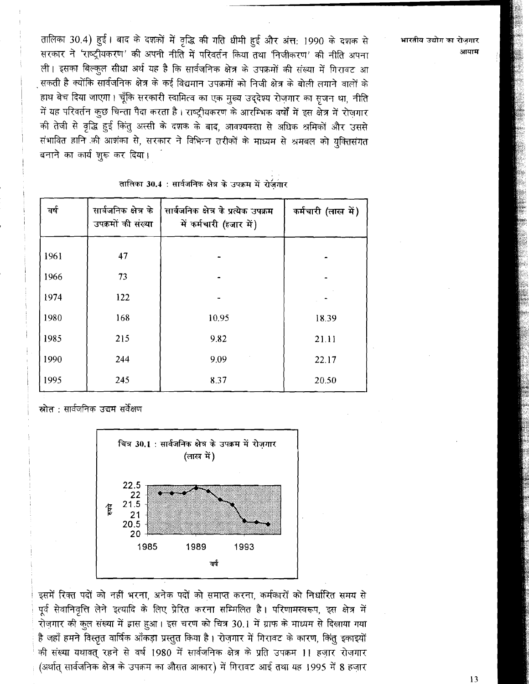तालिका 30.4) हुई। बाद के दशकों में वृद्धि की गति धीमी हुई और अंत: 1990 के दशक से सरकार ने 'राष्ट्रीयकरण' की अपनी नीति में परिवर्तन किया तथा 'निजीकरण' की नीति अपना ली। इसका बिल्कूल सीधा अर्थ यह है कि सार्वजनिक क्षेत्र के उपक्रमों की संख्या में गिरावट आ सकती है क्योंकि सार्वजनिक क्षेत्र के कई विद्यमान उपक्रमों को निजी क्षेत्र के बोली लगाने वालों के हाथ बेच दिया जाएगा। चूँकि सरकारी स्वामित्व का एक मुख्य उद्देश्य रोजगार का सृजन था, नीति में यह परिवर्तन कुछ चिन्ता पैदा करता है। राष्ट्रीयकरण के आरम्भिक वर्षों में इस क्षेत्र में रोजगार की तेजी से वृद्धि हुई किंतु अस्सी के दशक के बाद, आवश्यकता से अधिक श्रमिकों और उससे संभावित हानि की आशंका से, सरकार ने विभिन्न तरीकों के माध्यम से श्रमबल को युक्तिसंगत बनाने का कार्य शुरू कर दिया।

| वर्ष | सार्वजनिक क्षेत्र के<br>उपक्रमों की संख्या | सार्वजनिक क्षेत्र के प्रत्येक उपक्रम<br>में कर्मचारी (हजार में) | कर्मचारी (लाख में) |
|------|--------------------------------------------|-----------------------------------------------------------------|--------------------|
| 1961 | 47                                         |                                                                 |                    |
| 1966 | 73                                         |                                                                 |                    |
| 1974 | 122                                        |                                                                 |                    |
| 1980 | 168                                        | 10.95                                                           | 18.39              |
| 1985 | 215                                        | 9.82                                                            | 21.11              |
| 1990 | 244                                        | 9.09                                                            | 22.17              |
| 1995 | 245                                        | 8.37                                                            | 20.50              |

तालिका 30.4 : सार्वजनिक क्षेत्र के उपक्रम में रोजगार

स्रोत : सार्वजनिक उद्यम सर्वेक्षण



इसमें रिक्त पदों को नहीं भरना, अनेक पदों को समाप्त करना, कर्मकारों को निर्धारित समय से पूर्व सेवानिवृत्ति लेने इत्यादि के लिए प्रेरित करना सम्मिलित है। परिणामस्वरूप, इस क्षेत्र में रोज़गार की कुल संख्या में इास हुआ। इस चरण को चित्र 30.1 में ग्राफ के माध्यम से दिखाया गया है जहाँ हमने विस्तृत वार्षिक आँकड़ा प्रस्तुत किया है। रोज़गार में गिरावट के कारण, किंतु इकाइयों की संख्या यथावत् रहने से वर्ष 1980 में सार्वजनिक क्षेत्र के प्रति उपक्रम 11 हजार रोजगार (अर्थात् सार्वजनिक क्षेत्र के उपक्रम का औसत आकार) में गिरावट आई तथा यह 1995 में 8 हज़ार भारतीय उद्योग का रोजगार आयाम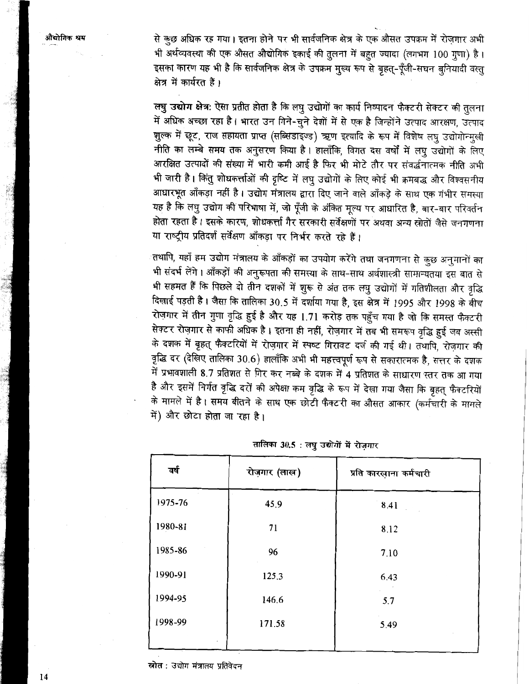से कुछ अधिक रह गया। इतना होने पर भी सार्वजनिक क्षेत्र के एक औसत उपक्रम में रोज़गार अभी भी अर्थव्यवस्था की एक औसत औद्योगिक इकाई की तुलना में बहुत ज्यादा (लगभग 100 गुणा) है। इसका कारण यह भी है कि सार्वजनिक क्षेत्र के उपक्रम मुख्य रूप से बृहत्-पूँजी-सघन बनियादी वस्त क्षेत्र में कार्यरत हैं।

लघु उद्योग क्षेत्र: ऐसा प्रतीत होता है कि लघु उद्योगों का कार्य निष्पादन फैक्टरी सेक्टर की तलना में अधिक अच्छा रहा है। भारत उन गिने-चुने देशों में से एक है जिन्होंने उत्पाद आरक्षण, उत्पाद गुल्क में छूट, राज सहायता प्राप्त (सब्सिडाइज्ड) ऋण इत्यादि के रूप में विशेष लघु उद्योगोन्मुखी नीति का लम्बे समय तक अनुसरण किया है। हालाँकि, विगत दस वर्षों में लघु उद्योगों के लिए आरक्षित उत्पादों की संख्या में भारी कमी आई है फिर भी मोटे तौर पर संवर्द्धनात्मक नीति अभी भी जारी है। किंतु शोधकर्त्ताओं की दृष्टि में लघु उद्योगों के लिए कोई भी क्रमबद्ध और विश्वसनीय आधारभूत आँकड़ा नहीं है। उद्योग मंत्रालय द्वारा दिए जाने वाले आँकड़े के साथ एक गंभीर समस्या यह है कि लघु उद्योग की परिभाषा में, जो पूँजी के अंकित मूल्य पर आधारित है, बार-बार परिवर्तन होता रहता है। इसके कारण, शोधकर्त्ता गैर सरकारी सर्वेक्षणों पर अथवा अन्य स्रोतों जैसे जनगणना या राष्ट्रीय प्रतिदर्श सर्वेक्षण आँकड़ा पर निर्भर करते रहे हैं।

तथापि, यहाँ हम उद्योग मंत्रालय के आँकड़ों का उपयोग करेंगे तथा जनगणना से कुछ अनुमानों का भी संदर्भ लेंगे। आँकड़ों की अनुरूपता की समस्या के साथ-साथ अर्थशास्त्री सामान्यतया इस बात से भी सहमत हैं कि पिछले दो तीन दशकों में शुरू से अंत तक लपु उद्योगों में गतिशीलता और वृद्धि दिखाई पड़ती है। जैसा कि तालिका 30.5 में दर्शाया गया है, इस क्षेत्र में 1995 और 1998 के बीच रोज़गार में तीन गुणा वृद्धि हुई है और यह 1.71 करोड़ तक पहुँच गया है जो कि समस्त फैक्टरी सेक्टर रोज़गार से काफी अधिक है। इतना ही नहीं, रोज़गार में तब भी समरूप वृद्धि हुई जब अस्सी के दशक में बृहत् फैक्टरियों में रोज़गार में स्पष्ट गिरावट दर्ज की गई थी। तथापि, रोज़गार की त्रुद्धि दर (देखिए तालिका 30.6) हालाँकि अभी भी महत्त्वपूर्ण रूप से सकारात्मक है, सत्तर के दशक में प्रभावशाली 8.7 प्रतिशत से गिर कर नब्बे के दशक में 4 प्रतिशत के साधारण स्तर तक आ गया है और इसमें निर्गत वृद्धि दरों की अपेक्षा कम वृद्धि के रूप में देखा गया जैसा कि बृहत् फैक्टरियों के मामले में है। समय बीतने के साथ एक छोटी फैक्टरी का औसत आकार (कर्मचारी के मामले में) और छोटा होता जा रहा है।

| वर्ष    | रोज़गार (लाख) | प्रति कारखाना कर्मचारी |
|---------|---------------|------------------------|
| 1975-76 | 45.9          | 8.41                   |
| 1980-81 | 71            | 8.12                   |
| 1985-86 | 96            | 7.10                   |
| 1990-91 | 125.3         | 6.43                   |
| 1994-95 | 146.6         | 5.7                    |
| 1998-99 | 171.58        | 5.49                   |
|         |               |                        |

तालिका 30.5 : लघु उद्योगों में रोजगार

स्रोत : उद्योग मंत्रालय प्रतिवेदन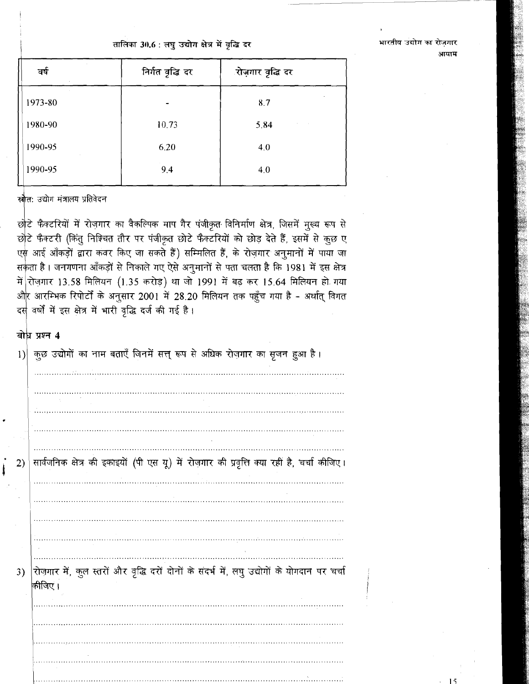तालिका 30.6 : लघु उद्योग क्षेत्र में वृद्धि दर

| वर्ष    | निर्गत वृद्धि दर | ्रोज़गार वृद्धि दर |
|---------|------------------|--------------------|
| 1973-80 |                  | 8.7                |
| 1980-90 | 10.73            | 5.84               |
| 1990-95 | 6.20             | 4.0                |
| 1990-95 | 9.4              | 4.0                |
|         |                  |                    |

स्रोत: उद्योग मंत्रालय प्रतिवेदन

छोटे फैक्टरियों में रोज़गार का वैकल्पिक माप गैर पंजीकृत विनिर्माण क्षेत्र, जिसमें मुख्य रूप से छोटे फैक्टरी (किंतु निश्चित तौर पर पंजीकृत छोटे फैक्टरियों को छोड़ देते हैं, इसमें से कुछ ए एस आई आँकड़ों द्वारा कवर किए जा सकते हैं) सम्मिलित हैं, के रोज़गार अनुमानों में पाया जा सकता है। जनगणना आँकड़ों से निकाले गए ऐसे अनुमानों से पता चलता है कि 1981 में इस क्षेत्र में रोज़गार 13.58 मिलियन (1.35 करोड़) था जो 1991 में बढ़ कर 15.64 मिलियन हो गया औ<mark>र आरम्भिक रिपोर्टों के अनुसार 2001 में 28.20 मिलियन तक पहुँच गया है - अर्थात् विगत</mark> दस वर्षों में इस क्षेत्र में भारी वृद्धि दर्ज की गई है।

### बोध प्रश्न 4



भारतीय उद्योग का रोजगार आयाम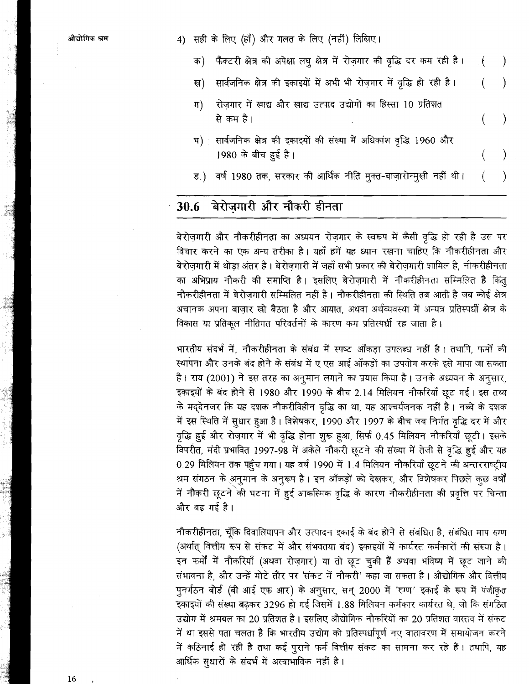4) सही के लिए (हाँ) और गलत के लिए (नहीं) लिखिए।

- फैक्टरी क्षेत्र की अपेक्षा लघु क्षेत्र में रोज़गार की वृद्धि दर कम रही है। क)
- सार्वजनिक क्षेत्र की इकाइयों में अभी भी रोज़गार में वृद्धि हो रही है। ख) €
- रोजगार में खाद्य और खाद्य उत्पाद उद्योगों का हिस्सा 10 प्रतिशत ग) से कम है।
- सार्वजनिक क्षेत्र की इकाइयों की संख्या में अधिकांश वृद्धि 1960 और **घ**) 1980 के बीच हुई है।
- ड.) वर्ष 1980 तक, सरकार की आर्थिक नीति मुक्त-बाज़ारोन्मुखी नहीं थी।

#### बेरोज़गारी और नौकरी हीनता 30.6

बेरोज़गारी और नौकरीहीनता का अध्ययन रोज़गार के स्वरूप में कैसी वृद्धि हो रही है उस पर विचार करने का एक अन्य तरीका है। यहाँ हमें यह ध्यान रखना चाहिए कि नौकरीहीनता और बेरोजगारी में थोड़ा अंतर है। बेरोजगारी में जहाँ सभी प्रकार की बेरोजगारी शामिल है, नौकरीहीनता का अभिप्राय नौकरी की समाप्ति है। इसलिए बेरोज़गारी में नौकरीहीनता सम्मिलित है किंतू नौकरीहीनता में बेरोजगारी सम्मिलित नहीं है। नौकरीहीनता की स्थिति तब आती है जब कोई क्षेत्र अचानक अपना बाज़ार खो बैठता है और आयात, अथवा अर्थव्यवस्था में अन्यत्र प्रतिस्पर्धी क्षेत्र के विकास या प्रतिकूल नीतिगत परिवर्तनों के कारण कम प्रतिस्पर्धी रह जाता है।

भारतीय संदर्भ में, नौकरीहीनता के संबंध में स्पष्ट आँकड़ा उपलब्ध नहीं है। तथापि, फर्मों की स्थापना और उनके बंद होने के संबंध में ए एस आई आँकड़ों का उपयोग करके इसे मापा जा सकता है। राय (2001) ने इस तरह का अनूमान लगाने का प्रयास किया है। उनके अध्ययन के अनूसार, इकाइयों के बंद होने से 1980 और 1990 के बीच 2.14 मिलियन नौकरियाँ छूट गई। इस तथ्य के मद्देनजर कि यह दशक नौकरीविहीन वृद्धि का था, यह आश्चर्यजनक नहीं है। नब्बे के दशक में इस स्थिति में सुधार हुआ है। विशेषकर, 1990 और 1997 के बीच जब निर्गत वृद्धि दर में और वृद्धि हुई और रोज़गार में भी वृद्धि होना शुरू हुआ, सिर्फ 0.45 मिलियन नौकरियाँ छूटी। इसके विपरीत, मंदी प्रभावित 1997-98 में अकेले नौकरी छूटने की संख्या में तेजी से वृद्धि हुई और यह 0.29 मिलियन तक पहुँच गया। यह वर्ष 1990 में 1.4 मिलियन नौकरियाँ छूटने की अन्तरराष्ट्रीय श्रम संगठन के अनुमान के अनुरूप है। इन आँकड़ों को देखकर, और विशेषकर पिछले कुछ वर्षों में नौकरी छूटने की घटना में हुई आकस्मिक वृद्धि के कारण नौकरीहीनता की प्रवृत्ति पर चिन्ता और बढ़ गई है।

नौकरीहीनता, चूँकि दिवालियापन और उत्पादन इकाई के बंद होने से संबंधित है, संबंधित माप रुग्ण (अर्थात् वित्तीय रूप से संकट में और संभवतया बंद) इकाइयों में कार्यरत कर्मकारों की संख्या है। इन फर्मों में नौकरियाँ (अथवा रोज़गार) या तो छूट चुकी हैं अथवा भविष्य में छूट जाने की संभावना है, और उन्हें मोटे तौर पर 'संकट में नौकरी' कहा जा सकता है। औद्योगिक और वित्तीय पुनर्गठन बोर्ड (बी आई एफ आर) के अनुसार, सन् 2000 में 'रुग्ण' इकाई के रूप में पंजीकृत इकाइयों की संख्या बढ़कर 3296 हो गई जिसमें 1.88 मिलियन कर्मकार कार्यरत थे, जो कि संगठित उद्योग में श्रमबल का 20 प्रतिशत है। इसलिए औद्योगिक नौकरियों का 20 प्रतिशत वास्तव में संकट में था इससे पता चलता है कि भारतीय उद्योग को प्रतिस्पर्धापूर्ण नए वातावरण में समायोजन करने में कठिनाई हो रही है तथा कई पुराने फर्म वित्तीय संकट का सामना कर रहे हैं। तथापि, यह आर्थिक सुधारों के संदर्भ में अस्वाभाविक नहीं है।

16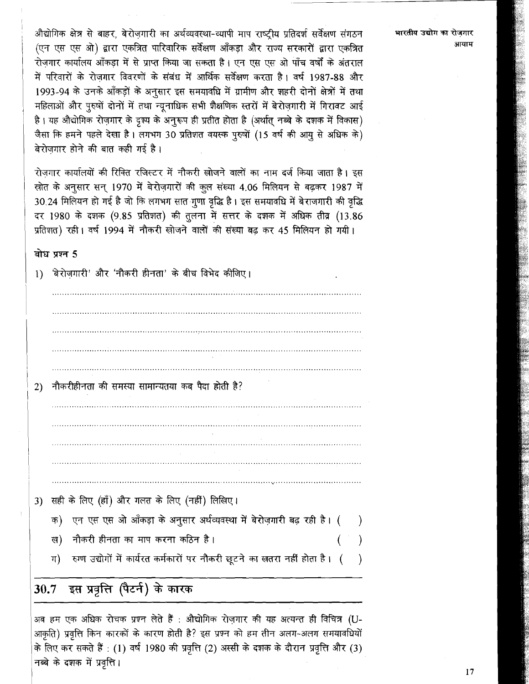औद्योगिक क्षेत्र से बाहर, बेरोजगारी का अर्थव्यवस्था-व्यापी माप राष्ट्रीय प्रतिदर्श सर्वेक्षण संगठन (एन एस एस ओ) द्वारा एकत्रित पारिवारिक सर्वेक्षण आँकड़ा और राज्य सरकारों द्वारा एकत्रित रोजगार कार्यालय आँकडा में से प्राप्त किया जा सकता है। एन एस एस ओ पाँच वर्षों के अंतराल में परिवारों के रोजगार विवरणों के संबंध में आर्थिक सर्वेक्षण करता है। वर्ष 1987-88 और 1993-94 के उनके आँकड़ों के अनुसार इस समयावधि में ग्रामीण और शहरी दोनों क्षेत्रों में तथा महिलाओं और पूरुषों दोनों में तथा न्यूनाधिक सभी शैक्षणिक स्तरों में बेरोज़गारी में गिरावट आई है। यह औद्योगिक रोज़गार के दृश्य के अनुरूप ही प्रतीत होता है (अर्थात् नब्बे के दशक में विकास) जैसा कि हमने पहले देखा है। लगभग 30 प्रतिशत वयस्क पुरुषों (15 वर्ष की आयु से अधिक के) बेरोजगार होने की बात कही गई है।

रोजगार कार्यालयों की रिक्ति रजिस्टर में नौकरी खोजने वालों का नाम दर्ज किया जाता है। इस स्रोत के अनुसार सन् 1970 में बेरोज़गारों की कुल संख्या 4.06 मिलियन से बढ़कर 1987 में 30.24 मिलियन हो गई है जो कि लगभग सात गूणा वृद्धि है। इस समयावधि में बेराजगारी की वृद्धि दर 1980 के दशक (9.85 प्रतिशत) की तुलना में सत्तर के दशक में अधिक तीव्र (13.86 प्रतिशत) रही। वर्ष 1994 में नौकरी खोजने वालों की संख्या बढ़ कर 45 मिलियन हो गयी।

### बोध प्रश्न 5

'बेरोजगारी' और 'नौकरी हीनता' के बीच विभेद कीजिए।  $1)$ 

 $2)$ नौकरीहीनता की समस्या सामान्यतया कब पैदा होती है?

- 3) सही के लिए (हाँ) और गलत के लिए (नहीं) लिखिए।
	- क) एन एस एस ओ आँकड़ा के अनूसार अर्थव्यवस्था में बेरोज़गारी बढ़ रही है। ( ख) नौकरी हीनता का माप करना कठिन है।
	- रुग्ण उद्योगों में कार्यरत कर्मकारों पर नौकरी छूटने का खतरा नहीं होता है। ( ग)

#### इस प्रवृत्ति (पैटर्न) के कारक 30.7

अब हम एक अधिक रोचक प्रश्न लेते हैं : औद्योगिक रोज़गार की यह अत्यन्त ही विचित्र (U-आकृति) प्रवृत्ति किन कारकों के कारण होती है? इस प्रश्न को हम तीन अलग-अलग समयावधियों के लिए कर सकते हैं : (1) वर्ष 1980 की प्रवृत्ति (2) अस्सी के दशक के दौरान प्रवृत्ति और (3) नब्बे के दशक में प्रवृत्ति।

 $17$ 

भारतीय उद्योग का रोजगार

आयाम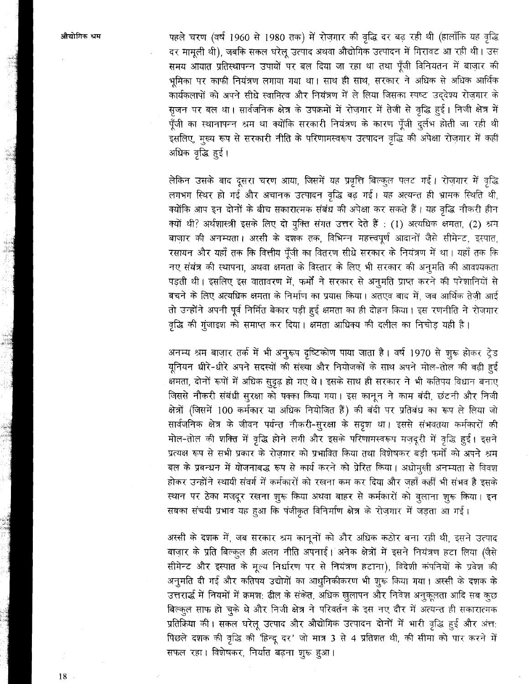पहले चरण (वर्ष 1960 से 1980 तक) में रोज़गार की वृद्धि दर बढ़ रही थी (हालाँकि यह वृद्धि दर मामुली थी), जबकि सकल घरेलू उत्पाद अथवा औद्योगिक उत्पादन में गिरावट आ रही थी। उस समय आयात प्रतिस्थापन्न उपायों पर बल दिया जा रहा था तथा पूँजी विनियतन में बाज़ार की भूमिका पर काफी नियंत्रण लगाया गया था। साथ ही साथ, सरकार ने अधिक से अधिक आर्थिक कार्यकलापों को अपने सीधे स्वामित्व और नियंत्रण में ले लिया जिसका स्पष्ट उददेश्य रोजगार के सृजन पर बल था। सार्वजनिक क्षेत्र के उपक्रमों में रोज़गार में तेजी से वृद्धि हुई। निजी क्षेत्र में पूँजी का स्थानापन्न श्रम था क्योंकि सरकारी नियंत्रण के कारण पूँजी दुर्लभ होती जा रही थी इसलिए, मुख्य रूप से सरकारी नीति के परिणामस्वरूप उत्पादन वृद्धि की अपेक्षा रोज़गार में कहीं अधिक वृद्धि हुई।

लेकिन उसके बाद दूसरा चरण आया, जिसमें यह प्रवृत्ति बिल्कूल पलट गई। रोज़गार में वृद्धि लगभग स्थिर हो गई और अचानक उत्पादन वृद्धि बढ़ गई। यह अत्यन्त ही भ्रामक स्थिति थी, क्योंकि आप इन दोनों के बीच सकारात्मक संबंध की अपेक्षा कर सकते हैं। यह वृद्धि नौकरी हीन क्यों थी? अर्थशास्त्री इसके लिए दो युक्ति संगत उत्तर देते हैं : (1) अत्यधिक क्षमता, (2) श्रम बाजार की अनम्यता। अस्सी के दशक तक, विभिन्न महत्त्वपूर्ण आदानों जैसे सीमेन्ट, इस्पात, रसायन और यहाँ तक कि वित्तीय पँजी का वितरण सीधे सरकार के नियंत्रण में था। यहाँ तक कि नए संयंत्र की स्थापना, अथवा क्षमता के विस्तार के लिए भी सरकार की अनुमति की आवश्यकता पड़ती थी। इसलिए इस वातावरण में, फर्मों ने सरकार से अनुमति प्राप्त करने की परेशानियों से बचने के लिए अत्यधिक क्षमता के निर्माण का प्रयास किया। अतएव बाद में, जब आर्थिक तेजी आई तो उन्होंने अपनी पूर्व निर्मित बेकार पड़ी हुई क्षमता का ही दोहन किया। इस रणनीति ने रोजगार वृद्धि की गुंजाइश को समाप्त कर दिया। क्षमता आधिक्य की दलील का निचोड यही है।

अनम्य श्रम बाज़ार तर्क में भी अनूरूप दृष्टिकोण पाया जाता है। वर्ष 1970 से शुरू होकर ट्रेड यूनियन धीरे-धीरे अपने सदस्यों की संख्या और नियोजकों के साथ अपने मोल-तोल की बढ़ी हुई क्षमता, दोनों रूपों में अधिक सुदृढ़ हो गए थे। इसके साथ ही सरकार ने भी कतिपय विधान बनाए जिससे नौकरी संबंधी सुरक्षा को पक्का किया गया। इस कानून ने काम बंदी, छंटनी और निजी क्षेत्रों (जिसमें 100 कर्मकार या अधिक नियोजित हैं) की बंदी पर प्रतिबंध का रूप ले लिया जो सार्वजनिक क्षेत्र के जीवन पर्यन्त नौकरी-सुरक्षा के सदृश था। इससे संभवतया कर्मकारों की मोल-तोल की शक्ति में वृद्धि होने लगी और इसके परिणामस्वरूप मजदरी में वृद्धि हुई। इसने प्रत्यक्ष रूप से सभी प्रकार के रोजगार को प्रभावित किया तथा विशेषकर बड़ी फर्मों को अपने श्रम बल के प्रबन्धन में योजनाबद्ध रूप से कार्य करने को प्रेरित किया। अधोमुखी अनम्यता से विवश होकर उन्होंने स्थायी संवर्ग में कर्मकारों को रखना कम कर दिया और जहाँ कहीं भी संभव है इसके स्थान पर ठेका मजदूर रखना शूरू किया अथवा बाहर से कर्मकारों को बुलाना शुरू किया। इन सबका संचयी प्रभाव यह हुआ कि पंजीकृत विनिर्माण क्षेत्र के रोज़गार में जड़ता आ गई।

अस्सी के दशक में, जब सरकार श्रम कानूनों को और अधिक कठोर बना रही थी, इसने उत्पाद बाज़ार के प्रति बिल्कुल ही अलग नीति अपनाई। अनेक क्षेत्रों में इसने नियंत्रण हटा लिया (जैसे सीमेन्ट और इस्पात के मूल्य निर्धारण पर से नियंत्रण हटाना), विदेशी कंपनियों के प्रवेश की अनुमति दी गई और कतिपय उद्योगों का आधुनिकीकरण भी शुरू किया गया। अस्सी के दशक के उत्तरार्द्ध में नियमों में क्रमश: ढील के संकेत, अधिक खुलापन और निवेश अनुकूलता आदि सब कूछ बिल्कुल साफ हो चुके थे और निजी क्षेत्र ने परिवर्तन के इस नए दौर में अत्यन्त ही सकारात्मक प्रतिक्रिया की। सकल घरेलू उत्पाद और औद्योगिक उत्पादन दोनों में भारी वृद्धि हुई और अंत: पिछले दशक की वृद्धि की 'हिन्दू दर' जो मात्र 3 से 4 प्रतिशत थी, की सीमा को पार करने में सफल रहा। विशेषकर, निर्यात बढ़ना शुरू हुआ।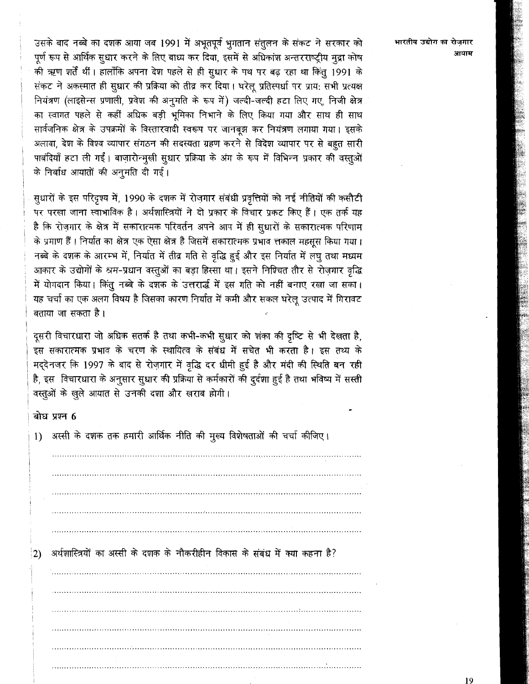उसके बाद नब्बे का दशक आया जब 1991 में अभूतपूर्व भुगतान संतुलन के संकट ने सरकार को पूर्ण रूप से आर्थिक सूधार करने के लिए बाध्य कर दिया, इसमें से अधिकांश अन्तरराष्ट्रीय मूद्रा कोष की ऋण शर्तें थीं। हालाँकि अपना देश पहले से ही सुधार के पथ पर बढ़ रहा था किंतु 1991 के संकट ने अकस्मात ही सुधार की प्रक्रिया को तीव्र कर दिया। घरेलू प्रतिस्पर्धा पर प्राय: सभी प्रत्यक्ष नियंत्रण (लाइसेन्स प्रणाली, प्रवेश की अनुमति के रूप में) जल्दी-जल्दी हटा लिए गए, निजी क्षेत्र का स्वागत पहले से कहीं अधिक बड़ी भूमिका निभाने के लिए किया गया और साथ ही साथ सार्वजनिक क्षेत्र के उपक्रमों के विस्तारवादी स्वरूप पर जानबुझ कर नियंत्रण लगाया गया। इसके अलावा, देश के विश्व व्यापार संगठन की सदस्यता ग्रहण करने से विदेश व्यापार पर से बहुत सारी पाबंदियाँ हटा ली गईं। बाज़ारोन्मुखी सुधार प्रक्रिया के अंग के रूप में विभिन्न प्रकार की वस्तुओं के निर्बाध आयातों की अनूमति दी गई।

सुधारों के इस परिदृश्य में, 1990 के दशक में रोज़गार संबंधी प्रवृत्तियों को नई नीतियों की कसौटी पर परखा जाना स्वाभाविक है। अर्थशास्त्रियों ने दो प्रकार के विचार प्रकट किए हैं। एक तर्क यह है कि रोज़गार के क्षेत्र में सकारात्मक परिवर्तन अपने आप में ही सुधारों के सकारात्मक परिणाम के प्रमाण हैं। निर्यात का क्षेत्र एक ऐसा क्षेत्र है जिसमें सकारात्मक प्रभाव त्तकाल महसूस किया गया। नब्बे के दशक के आरम्भ में, निर्यात में तीव्र गति से वृद्धि हुई और इस निर्यात में लघु तथा मध्यम आकार के उद्योगों के श्रम-प्रधान वस्तुओं का बड़ा हिस्सा था। इसने निश्चित तौर से रोज़गार वृद्धि में योगदान किया। किंतु नब्बे के दशक के उत्तरार्द्ध में इस गति को नहीं बनाए रखा जा सका। यह चर्चा का एक अलग विषय है जिसका कारण निर्यात में कमी और सकल घरेलू उत्पाद में गिरावट बताया जा सकता है ।

दूसरी विचारधारा जो अधिक सतर्क है तथा कभी-कभी सूधार को शंका की दृष्टि से भी देखता है, इस सकारात्मक प्रभाव के चरण के स्थायित्व के संबंध में सचेत भी करता है। इस तथ्य के मद्देनजर कि 1997 के बाद से रोज़गार में वृद्धि दर धीमी हुई है और मंदी की स्थिति बन रही है, इस विचारधारा के अनुसार सुधार की प्रक्रिया से कर्मकारों की दुर्दशा हुई है तथा भविष्य में सस्ती वस्तूओं के खुले आयात से उनकी दशा और खराब होगी।

### बोध प्रश्न 6

| $\left  \right $ | अस्सी के दशक तक हमारी आर्थिक नीति की मुख्य विशेषताओं की चर्चा कीजिए।         |
|------------------|------------------------------------------------------------------------------|
|                  |                                                                              |
|                  |                                                                              |
|                  |                                                                              |
|                  |                                                                              |
|                  |                                                                              |
|                  |                                                                              |
| 2)               | अर्थशास्त्रियों का अस्सी के दशक के नौकरीहीन विकास के संबंध में क्या कहना है? |
|                  |                                                                              |
|                  |                                                                              |
|                  |                                                                              |
|                  |                                                                              |
|                  |                                                                              |

भारतीय उद्योग का रोजगार आयाम

19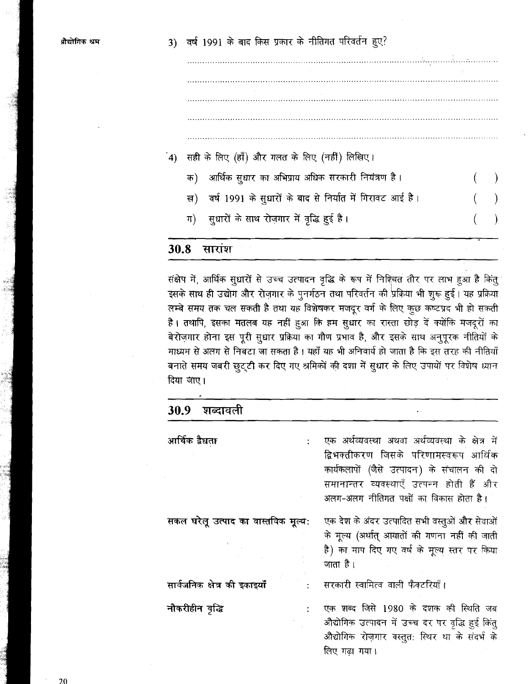## 3) वर्ष 1991 के बाद किस प्रकार के नीतिगत परिवर्तन हुए?

सही के लिए (हाँ) और गलत के लिए (नहीं) लिखिए।  $\mathbf{A}$ आर्थिक सुधार का अभिप्राय अधिक सरकारी नियंत्रण है। क) वर्ष 1991 के सुधारों के बाद से निर्यात में गिरावट आई है। ख) सूधारों के साथ रोजगार में वृद्धि हुई है। ग)

#### 30.8 सारांश

संक्षेप में, आर्थिक सुधारों से उच्च उत्पादन वृद्धि के रूप में निश्चित तौर पर लाभ हुआ है किंतू इसके साथ ही उद्योग और रोज़गार के पुनर्गठन तथा परिवर्तन की प्रक्रिया भी शुरू हुई। यह प्रक्रिया लम्बे समय तक चल सकती है तथा यह विशेषकर मजदूर वर्ग के लिए कुछ कष्टप्रद भी हो सकती है। तथापि, इसका मतलब यह नहीं हुआ कि हम सुधार का रास्ता छोड़ दें क्योंकि मजदूरों का बेरोज़गार होना इस पूरी सूधार प्रक्रिया का गौण प्रभाव है, और इसके साथ अनुपूरक नीतियों के माध्यम से अलग से निबटा जा सकता है। यहाँ यह भी अनिवार्य हो जाता है कि इस तरह की नीतियाँ बनाते समय जबरी छुट्टी कर दिए गए श्रमिकों की दशा में सुधार के लिए उपायों पर विशेष ध्यान दिया जाए।

| 30.9 | शब्दावला |
|------|----------|

| आर्थिक द्वैधता                      | एक अर्थव्यवस्था अथवा अर्थव्यवस्था के क्षेत्र में<br>द्विभक्तीकरण जिसके परिणामस्वरूप आर्थिक<br>कार्यकलापों (जैसे उत्पादन) के संचालन की दो<br>समानान्तर व्यवस्थाएँ उत्पन्न होती हैं और<br>अलग-अलग नीतिगत पक्षों का विकास होता है। |
|-------------------------------------|---------------------------------------------------------------------------------------------------------------------------------------------------------------------------------------------------------------------------------|
| सकल घरेलू उत्पाद का वास्तविक मूल्य: | एक देश के अंदर उत्पादित सभी वस्तुओं और सेवाओं<br>के मूल्य (अर्थात् आयातों की गणना नहीं की जाती<br>है) का माप दिए गए वर्ष के मूल्य स्तर पर किया<br>जाता है।                                                                      |
| सार्वजनिक क्षेत्र की इकाइयाँ        | सरकारी स्वामित्व वाली फैक्टरियाँ।                                                                                                                                                                                               |
| नौकरीहीन वृद्धि                     | एक शब्द जिसे 1980 के दशक की स्थिति जब<br>औद्योगिक उत्पादन में उच्च दर पर वृद्धि हुई किंतु<br>औद्योगिक रोज़गार वस्तुत: स्थिर था के संदर्भ के<br>लिए गढा गया।                                                                     |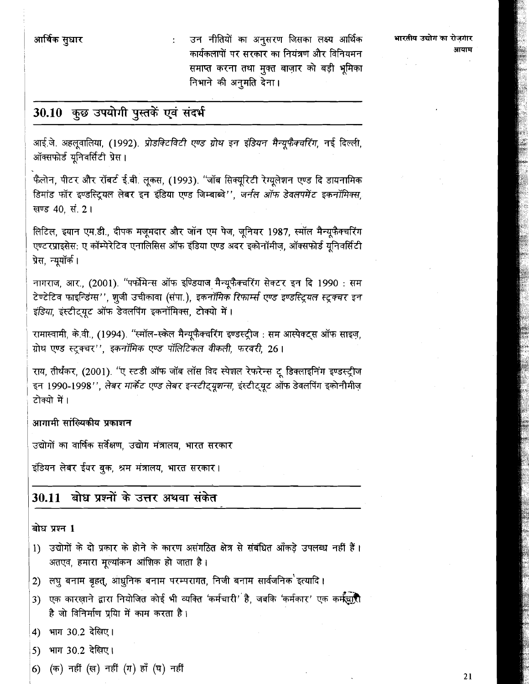उन नीतियों का अनुसरण जिसका लक्ष्य आर्थिक कार्यकलापों पर सरकार का नियंत्रण और विनियमन समाप्त करना तथा मुक्त बाज़ार को बड़ी भूमिका निभाने की अनुमति देना।

भारतीय उद्योग का रोजगार आयाम

## 30.10 कुछ उपयोगी पुस्तकें एवं संदर्भ

आई.जे. अहलुवालिया, (1992). प्रोडक्टिविटी एण्ड ग्रोथ इन इंडियन मैन्यूफैक्चरिंग, नई दिल्ली, ऑक्सफोर्ड युनिवर्सिटी प्रेस।

फैलोन, पीटर और रॉबर्ट ई.बी. लुकस, (1993). ''जॉब सिक्यूरिटी रेग्यूलेशन एण्ड दि डायनामिक डिमांड फॉर इण्डस्ट्रियल लेबर इन इंडिया एण्ड जिम्बाब्वे'', जर्नल ऑफ डेवलपमेंट इकनॉमिक्स, खण्ड 40, सं. 2।

लिटिल, इयान एम.डी., दीपक मजूमदार और जॉन एम पेज, जूनियर 1987, स्मॉल मैन्यूफैक्चरिंग एण्टरप्राइसेस: ए कॉम्पेरेटिव एनालिसिस ऑफ इंडिया एण्ड अदर इकोनॉमीज़, ऑक्सफोर्ड यूनिवर्सिटी प्रेस, न्यूयॉर्क।

नागराज, आर., (2001). "पर्फोमेन्स ऑफ इण्डियाज मैन्यूफैक्चरिंग सेक्टर इन दि 1990 : सम टेण्टेटिव फाइन्डिंग्स'', शुजी उचीकावा (संपा.), इकनॉर्मिक रिफार्म्स एण्ड इण्डस्ट्रियल स्टूक्चर इन इंडिया, इंस्टीट्यूट ऑफ डेवलपिंग इकनॉमिक्स, टोक्यो में।

रामास्वामी, के.वी., (1994). "स्मॉल-स्केल मैन्यूफैक्चरिंग इण्डस्ट्रीज : सम आस्पेक्ट्स ऑफ साइज, ग्रोथ एण्ड स्टूक्चर'', इकनॉमिक एण्ड पॉलिटिकल वीकली, फरवरी. 26।

राय, तीर्थंकर, (2001). ''ए स्टडी ऑफ जॉब लॉस विद स्पेशल रेफरेन्स टू डिक्लाइनिंग इण्डस्ट्रीज इन 1990-1998'', लेबर मार्केट एण्ड लेबर इन्स्टीट्यूशन्स, इंस्टीट्यूट ऑफ डेवलपिंग इकोनौमीज़ टोक्यो में ।

### आगामी सांख्यिकीय प्रकाशन

उद्योगों का वार्षिक सर्वेक्षण, उद्योग मंत्रालय, भारत सरकार

इंडियन लेबर ईयर बुक, श्रम मंत्रालय, भारत सरकार।

## 30.11 बोध प्रश्नों के उत्तर अथवा संकेत

#### बोध प्रश्न 1

- 1) उद्योगों के दो प्रकार के होने के कारण असंगठित क्षेत्र से संबंधित आँकड़े उपलब्ध नहीं हैं। अतएव, हमारा मूल्यांकन आंशिक हो जाता है।
- 2) लघु बनाम बृहत्, आधुनिक बनाम परम्परागत, निजी बनाम सार्वजनिक इत्यादि ।
- एक कारखाने द्वारा नियोजित कोई भी व्यक्ति 'कर्मचारी' है, जबकि 'कर्मकार' एक कर्मझारी  $3)$ है जो विनिर्माण प्रयाि में काम करता है।
- 4) भाग 30.2 देखिए।
- भाग 30.2 देखिए। 5)
- (क) नहीं (ख) नहीं (ग) हाँ (घ) नहीं 6)